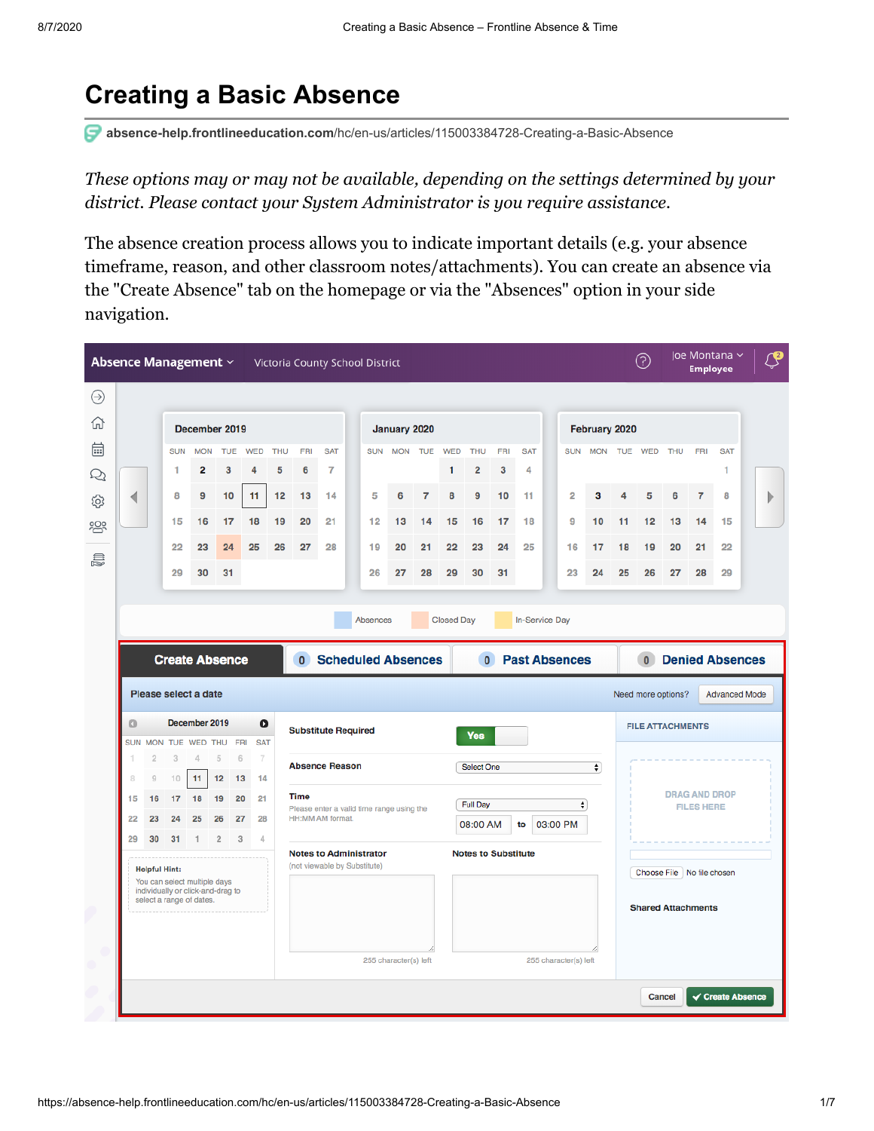# **Creating a Basic Absence**

**absence-help.frontlineeducation.com**[/hc/en-us/articles/115003384728-Creating-a-Basic-Absence](https://absence-help.frontlineeducation.com/hc/en-us/articles/115003384728-Creating-a-Basic-Absence?)

*These options may or may not be available, depending on the settings determined by your district. Please contact your System Administrator is you require assistance.*

The absence creation process allows you to indicate important details (e.g. your absence timeframe, reason, and other classroom notes/attachments). You can create an absence via the "Create Absence" tab on the homepage or via the "Absences" option in your side navigation.

| Absence Management ~ |                      |                                                                                               |                |                      |            |            |            |                               | Victoria County School District           |  |          |                       |                |                   |                            |            |                                               |          |                       |           |    | ⊚                   |                                                         | <b>Employee</b>      | Joe Montana ~          | ্টি |
|----------------------|----------------------|-----------------------------------------------------------------------------------------------|----------------|----------------------|------------|------------|------------|-------------------------------|-------------------------------------------|--|----------|-----------------------|----------------|-------------------|----------------------------|------------|-----------------------------------------------|----------|-----------------------|-----------|----|---------------------|---------------------------------------------------------|----------------------|------------------------|-----|
| ⊝<br>伔               |                      |                                                                                               | December 2019  |                      |            |            |            |                               |                                           |  |          |                       |                |                   |                            |            |                                               |          |                       |           |    |                     |                                                         |                      |                        |     |
|                      |                      |                                                                                               |                |                      |            |            |            | February 2020<br>January 2020 |                                           |  |          |                       |                |                   |                            |            |                                               |          |                       |           |    |                     |                                                         |                      |                        |     |
| 崮                    |                      | <b>SUN</b>                                                                                    | <b>MON</b>     |                      | <b>TUE</b> | <b>WED</b> | <b>THU</b> | <b>FRI</b>                    | <b>SAT</b>                                |  |          | SUN MON TUE           |                | <b>WED</b>        | <b>THU</b>                 | <b>FRI</b> | <b>SAT</b>                                    |          |                       |           |    | SUN MON TUE WED THU |                                                         | <b>FRI</b>           | <b>SAT</b>             |     |
| $\mathcal{Q}$        |                      | 1                                                                                             | 2              |                      | 3          | 4          | 5          | 6                             | 7                                         |  |          |                       |                | 1                 | $\overline{2}$             | 3          | 4                                             |          |                       |           |    |                     |                                                         |                      | 1                      |     |
| ◀<br>ලා              |                      | 8                                                                                             | 9              |                      | 10         | 11         | 12         | 13                            | 14                                        |  | 5        | 6                     | $\overline{7}$ | 8                 | 9                          | 10         | 11                                            |          | $\overline{2}$        | 3         | 4  | 5                   | 6                                                       | 7                    | 8                      | Þ   |
| <b>29°</b>           |                      | 15                                                                                            | 16             |                      | 17         | 18         | 19         | 20                            | 21                                        |  | 12       | 13                    | 14             | 15                | 16                         | 17         | 18                                            |          | 9                     | 10        | 11 | 12                  | 13                                                      | 14                   | 15                     |     |
|                      |                      | 22                                                                                            | 23             |                      | 24         | 25         | 26         | 27                            | 28                                        |  | 19       | 20                    | 21             | 22                | 23                         | 24         | 25                                            |          | 16                    | 17        | 18 | 19                  | 20                                                      | 21                   | 22                     |     |
|                      |                      | 29                                                                                            | 30             |                      | 31         |            |            |                               |                                           |  | 26       | 27                    | 28             | 29                | 30                         | 31         |                                               |          | 23                    | 24        | 25 | 26                  | 27                                                      | 28                   | 29                     |     |
|                      |                      |                                                                                               |                |                      |            |            |            |                               |                                           |  |          |                       |                |                   |                            |            |                                               |          |                       |           |    |                     |                                                         |                      |                        |     |
|                      |                      | <b>Create Absence</b>                                                                         |                |                      |            |            |            | $\mathbf{0}$                  | <b>Scheduled Absences</b>                 |  | Absences |                       |                | <b>Closed Day</b> | $\bullet$                  |            | <b>In-Service Day</b><br><b>Past Absences</b> |          |                       |           |    | $\mathbf{0}$        |                                                         |                      | <b>Denied Absences</b> |     |
|                      |                      | Please select a date                                                                          |                |                      |            |            |            |                               |                                           |  |          |                       |                |                   |                            |            |                                               |          |                       |           |    |                     | Need more options?                                      |                      | <b>Advanced Mode</b>   |     |
| $\circ$              |                      |                                                                                               | December 2019  |                      |            | O          |            |                               | <b>Substitute Required</b>                |  |          |                       |                |                   |                            |            |                                               |          |                       |           |    |                     | <b>FILE ATTACHMENTS</b>                                 |                      |                        |     |
| <b>SUN</b>           |                      | <b>MON TUE</b>                                                                                | <b>WED THU</b> |                      | <b>FRI</b> | <b>SAT</b> |            |                               |                                           |  |          |                       |                |                   | Yes                        |            |                                               |          |                       |           |    |                     |                                                         |                      |                        |     |
|                      | 2                    | 3                                                                                             | 4              | 5                    | 6          | 7          |            |                               | <b>Absence Reason</b>                     |  |          |                       |                |                   | <b>Select One</b>          |            |                                               |          |                       | $\bullet$ |    |                     |                                                         |                      |                        |     |
| 8                    | $\overline{9}$       | 10                                                                                            | 11             | 12                   | 13         | 14         |            |                               |                                           |  |          |                       |                |                   |                            |            |                                               |          |                       |           |    |                     |                                                         | <b>DRAG AND DROP</b> |                        |     |
| 15                   | 16                   | 17                                                                                            | 18             | 19                   | 20         | 21         |            | <b>Time</b>                   | Please enter a valid time range using the |  |          |                       |                |                   | <b>Full Day</b>            |            |                                               |          | ٠                     |           |    |                     |                                                         | <b>FILES HERE</b>    |                        |     |
| 22<br>29             | 23<br>30             | 24<br>31                                                                                      | 25<br>1        | 26<br>$\overline{2}$ | 27<br>3    | 28<br>4    |            |                               | HH:MM AM format.                          |  |          |                       |                |                   | 08:00 AM                   |            | to                                            | 03:00 PM |                       |           |    |                     |                                                         |                      |                        |     |
|                      |                      |                                                                                               |                |                      |            |            |            |                               | <b>Notes to Administrator</b>             |  |          |                       |                |                   | <b>Notes to Substitute</b> |            |                                               |          |                       |           |    |                     |                                                         |                      |                        |     |
|                      | <b>Helpful Hint:</b> | You can select multiple days<br>individually or click-and-drag to<br>select a range of dates. |                |                      |            |            |            |                               | (not viewable by Substitute)              |  |          |                       |                |                   |                            |            |                                               |          |                       |           |    |                     | Choose File No file chosen<br><b>Shared Attachments</b> |                      |                        |     |
|                      |                      |                                                                                               |                |                      |            |            |            |                               |                                           |  |          | 255 character(s) left |                |                   |                            |            |                                               |          | 255 character(s) left |           |    |                     |                                                         |                      |                        |     |
|                      |                      |                                                                                               |                |                      |            |            |            |                               |                                           |  |          |                       |                |                   |                            |            |                                               |          |                       |           |    |                     |                                                         |                      |                        |     |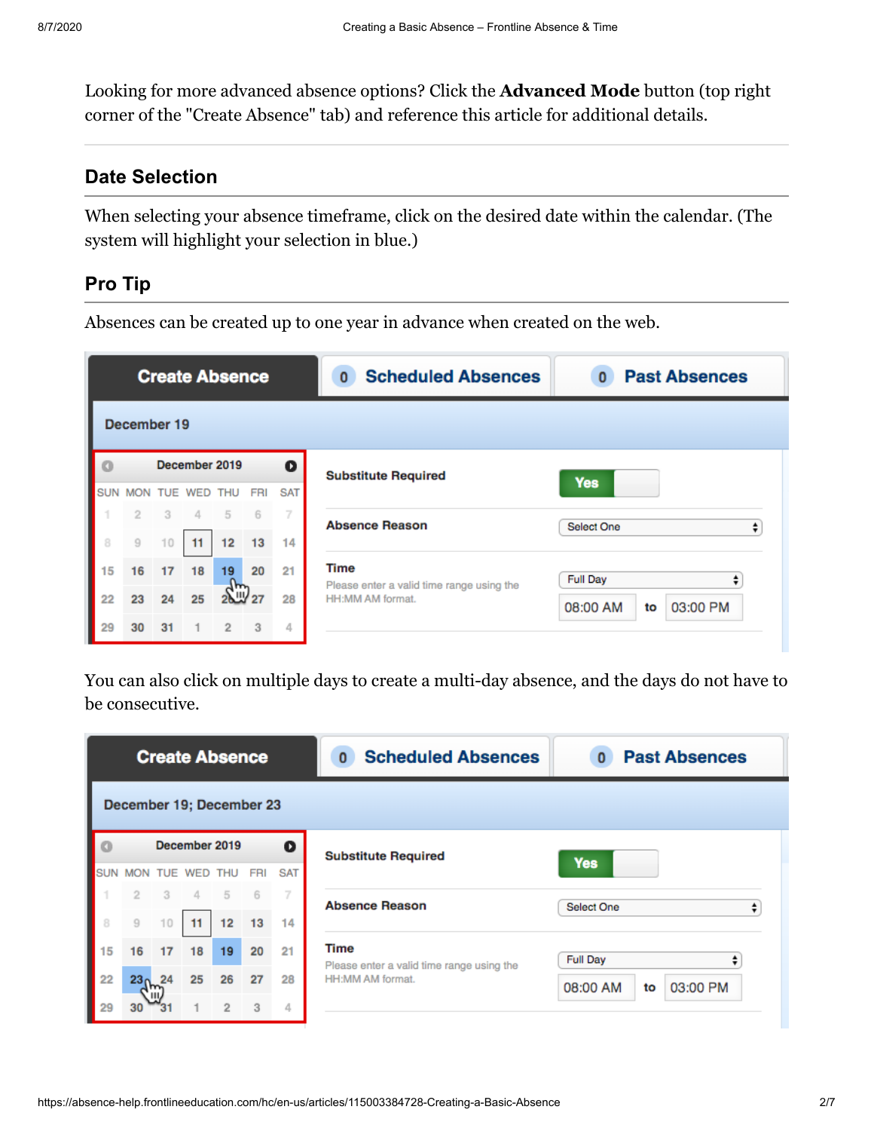Looking for more advanced absence options? Click the **Advanced Mode** button (top right corner of the "Create Absence" tab) and reference this [article](https://absence-help.frontlineeducation.com/hc/en-us/articles/115003384748) for additional details.

#### **Date Selection**

When selecting your absence timeframe, click on the desired date within the calendar. (The system will highlight your selection in blue.)

## **Pro Tip**

Absences can be created up to one year in advance when created on the web.

|            |                |     |               | <b>Create Absence</b> |            |            | <b>Scheduled Absences</b><br>$\mathbf 0$                      | <b>Past Absences</b><br>0  |  |  |  |  |  |  |  |
|------------|----------------|-----|---------------|-----------------------|------------|------------|---------------------------------------------------------------|----------------------------|--|--|--|--|--|--|--|
|            | December 19    |     |               |                       |            |            |                                                               |                            |  |  |  |  |  |  |  |
|            |                |     | December 2019 |                       |            | $\bullet$  | <b>Substitute Required</b>                                    |                            |  |  |  |  |  |  |  |
| <b>SUN</b> | <b>MON</b>     | TUE | <b>WFD</b>    | <b>THU</b>            | <b>FRI</b> | <b>SAT</b> |                                                               | <b>Yes</b>                 |  |  |  |  |  |  |  |
|            | $\overline{2}$ | 3   | 4             | 5                     | 6          | 7          | <b>Absence Reason</b>                                         | Select One<br>▴            |  |  |  |  |  |  |  |
| 8          | $\overline{9}$ | 10  | 11            | 12                    | 13         | 14         |                                                               |                            |  |  |  |  |  |  |  |
| 15         | 16             | 17  | 18            | 19                    | 20         | 21         | Time                                                          | <b>Full Day</b>            |  |  |  |  |  |  |  |
| 22         | 23             | 24  | 25            | $\lambda$ m           |            | 28         | Please enter a valid time range using the<br>HH:MM AM format. |                            |  |  |  |  |  |  |  |
| 29         | 30             | 31  |               | $\overline{2}$        | 3          | 4          |                                                               | 03:00 PM<br>08:00 AM<br>to |  |  |  |  |  |  |  |
|            |                |     |               |                       |            |            |                                                               |                            |  |  |  |  |  |  |  |

You can also click on multiple days to create a multi-day absence, and the days do not have to be consecutive.

|            |                          |     |     | <b>Create Absence</b> |     |            | <b>Scheduled Absences</b><br>$\mathbf{0}$                | <b>Past Absences</b><br>$\mathbf{0}$ |  |  |  |  |  |  |
|------------|--------------------------|-----|-----|-----------------------|-----|------------|----------------------------------------------------------|--------------------------------------|--|--|--|--|--|--|
|            | December 19; December 23 |     |     |                       |     |            |                                                          |                                      |  |  |  |  |  |  |
|            |                          |     |     | December 2019         |     | $\bullet$  | <b>Substitute Required</b>                               |                                      |  |  |  |  |  |  |
| <b>SUN</b> | <b>MON</b>               | TUE | WED | <b>THU</b>            | FRI | <b>SAT</b> |                                                          | <b>Yes</b>                           |  |  |  |  |  |  |
|            | $\overline{2}$           | 3   |     | 5                     | 6   | 7          | <b>Absence Reason</b>                                    | Select One<br>▲<br>▼                 |  |  |  |  |  |  |
|            | $\overline{9}$           | 10  | 11  | 12                    | 13  | 14         |                                                          |                                      |  |  |  |  |  |  |
| 15         | 16                       | 17  | 18  | 19                    | 20  | 21         | <b>Time</b><br>Please enter a valid time range using the | <b>Full Day</b>                      |  |  |  |  |  |  |
| 22         | $23_0$ 24                |     | 25  | 26                    | 27  | 28         | HH:MM AM format.                                         | 08:00 AM<br>03:00 PM<br>to           |  |  |  |  |  |  |
|            |                          |     |     |                       | 3   | 4          |                                                          |                                      |  |  |  |  |  |  |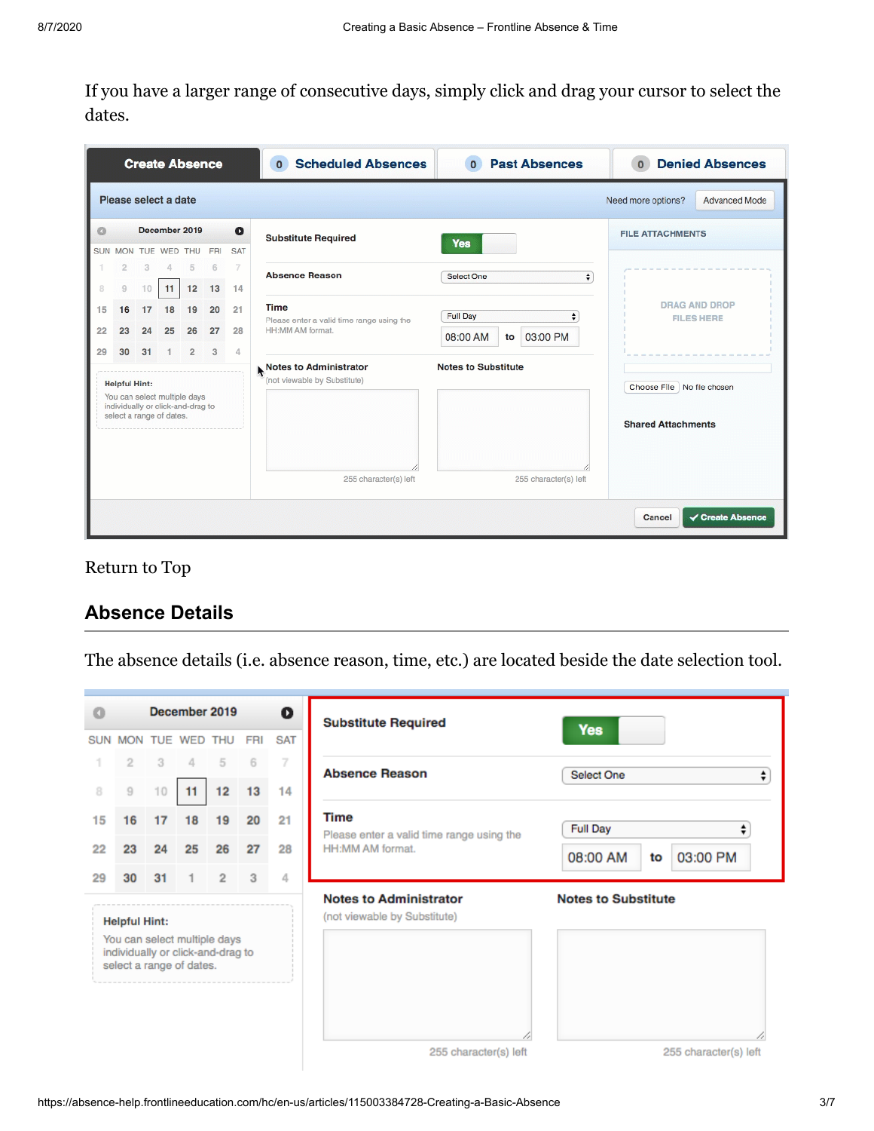If you have a larger range of consecutive days, simply click and drag your cursor to select the dates.

|          |                                                                                                                                   |    | <b>Create Absence</b>                |    |                                     |                         | <b>Scheduled Absences</b><br>$\mathbf{0}$                                    | <b>Past Absences</b><br>$\mathbf{0}$               | <b>Denied Absences</b><br>$\Omega$        |  |  |  |  |
|----------|-----------------------------------------------------------------------------------------------------------------------------------|----|--------------------------------------|----|-------------------------------------|-------------------------|------------------------------------------------------------------------------|----------------------------------------------------|-------------------------------------------|--|--|--|--|
|          |                                                                                                                                   |    | Please select a date                 |    | Need more options?<br>Advanced Mode |                         |                                                                              |                                                    |                                           |  |  |  |  |
| o        |                                                                                                                                   |    | December 2019<br>SUN MON TUE WED THU |    | <b>FRI</b>                          | $\bullet$<br><b>SAT</b> | <b>Substitute Required</b>                                                   | <b>FILE ATTACHMENTS</b>                            |                                           |  |  |  |  |
|          | o<br>$\Omega$                                                                                                                     | 10 | 11                                   | 12 | 13                                  | 7<br>14                 | <b>Absence Reason</b>                                                        | <b>Select One</b><br>٠                             |                                           |  |  |  |  |
| 15<br>22 | 21<br>17<br>18<br>19<br>20<br>16<br>25<br>26<br>27<br>28<br>23<br>24                                                              |    |                                      |    |                                     |                         | <b>Time</b><br>Please enter a valid time range using the<br>HH:MM AM format. | <b>Full Day</b><br>٠<br>03:00 PM<br>08:00 AM<br>to | <b>DRAG AND DROP</b><br><b>FILES HERE</b> |  |  |  |  |
| 29       | 31<br>4<br>30<br>$\overline{2}$<br>3<br><b>Helpful Hint:</b><br>You can select multiple days<br>individually or click-and-drag to |    |                                      |    |                                     |                         | Notes to Administrator<br>(not viewable by Substitute)                       | Choose File No file chosen                         |                                           |  |  |  |  |
|          |                                                                                                                                   |    | select a range of dates.             |    |                                     |                         | 255 character(s) left                                                        | <b>Shared Attachments</b>                          |                                           |  |  |  |  |
|          | 255 character(s) left<br>✔ Create Absence<br>Cancel                                                                               |    |                                      |    |                                     |                         |                                                                              |                                                    |                                           |  |  |  |  |

Return to Top

#### **Absence Details**

The absence details (i.e. absence reason, time, etc.) are located beside the date selection tool.

| Ω  |                                                                                                                       |    |    | December 2019  |            | $\bullet$  | <b>Substitute Required</b>                                    |                            |
|----|-----------------------------------------------------------------------------------------------------------------------|----|----|----------------|------------|------------|---------------------------------------------------------------|----------------------------|
|    | SUN MON TUE WED THU                                                                                                   |    |    |                | <b>FRI</b> | <b>SAT</b> |                                                               | <b>Yes</b>                 |
|    | $\mathfrak{D}$                                                                                                        | 3  | 4  | 5              | 6          | 7          | <b>Absence Reason</b>                                         | Select One                 |
| 8  | 9                                                                                                                     | 10 | 11 | 12             | 13         | 14         |                                                               |                            |
| 15 | 16                                                                                                                    | 17 | 18 | 19             | 20         | 21         | Time                                                          | <b>Full Day</b><br>÷       |
| 22 | 23                                                                                                                    | 24 | 25 | 26             | 27         | 28         | Please enter a valid time range using the<br>HH:MM AM format. | 03:00 PM<br>08:00 AM<br>to |
| 29 | 30                                                                                                                    | 31 |    | $\overline{2}$ | 3          | 4          |                                                               |                            |
|    | <b>Helpful Hint:</b><br>You can select multiple days<br>individually or click-and-drag to<br>select a range of dates. |    |    |                |            |            | <b>Notes to Administrator</b><br>(not viewable by Substitute) | <b>Notes to Substitute</b> |

255 character(s) left

255 character(s) left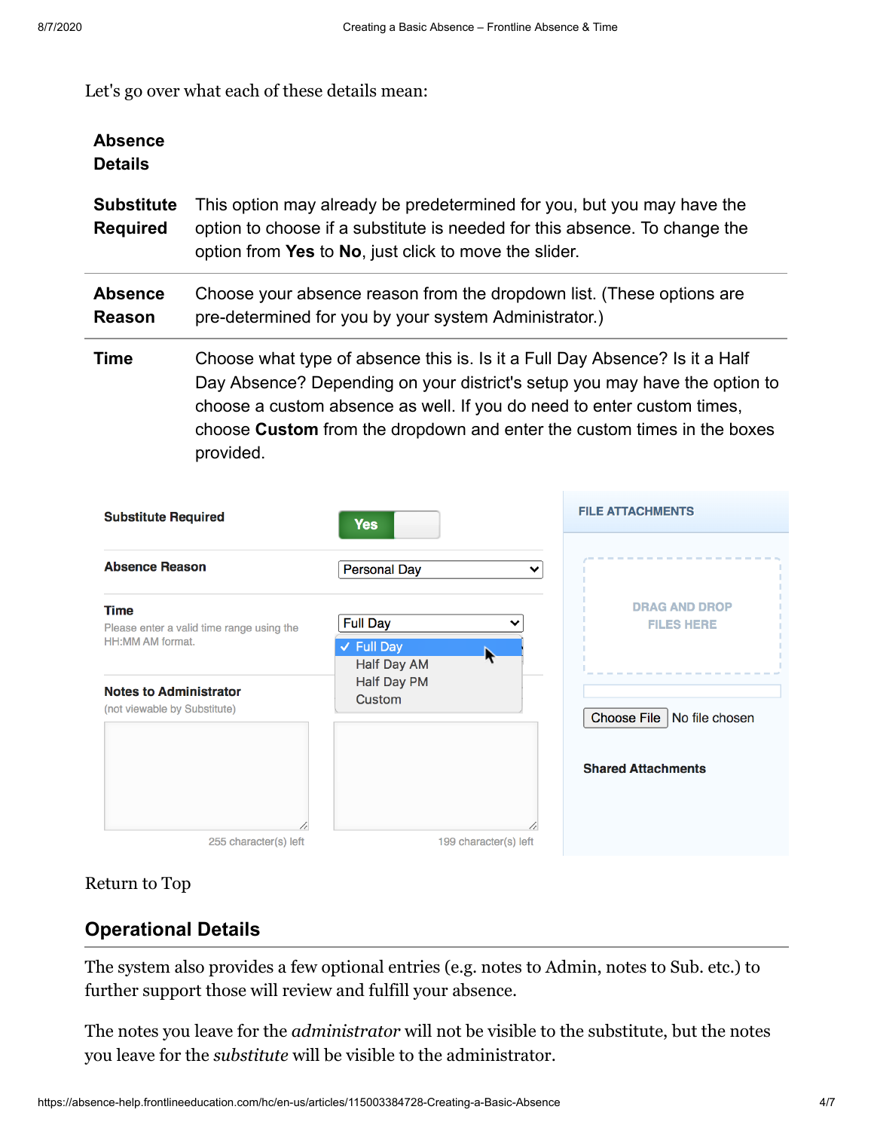Let's go over what each of these details mean:

| <b>Absence</b><br><b>Details</b>     |                                                                                                                                                                                                                                                                                                                             |
|--------------------------------------|-----------------------------------------------------------------------------------------------------------------------------------------------------------------------------------------------------------------------------------------------------------------------------------------------------------------------------|
| <b>Substitute</b><br><b>Required</b> | This option may already be predetermined for you, but you may have the<br>option to choose if a substitute is needed for this absence. To change the<br>option from Yes to No, just click to move the slider.                                                                                                               |
| <b>Absence</b><br><b>Reason</b>      | Choose your absence reason from the dropdown list. (These options are<br>pre-determined for you by your system Administrator.)                                                                                                                                                                                              |
| Time                                 | Choose what type of absence this is. Is it a Full Day Absence? Is it a Half<br>Day Absence? Depending on your district's setup you may have the option to<br>choose a custom absence as well. If you do need to enter custom times,<br>choose Custom from the dropdown and enter the custom times in the boxes<br>provided. |

| <b>Substitute Required</b>                                                   | <b>Yes</b>                                              | <b>FILE ATTACHMENTS</b>                   |
|------------------------------------------------------------------------------|---------------------------------------------------------|-------------------------------------------|
| <b>Absence Reason</b>                                                        | <b>Personal Day</b><br>$\checkmark$                     |                                           |
| <b>Time</b><br>Please enter a valid time range using the<br>HH:MM AM format. | <b>Full Day</b><br>$\checkmark$ Full Day<br>Half Day AM | <b>DRAG AND DROP</b><br><b>FILES HERE</b> |
| <b>Notes to Administrator</b><br>(not viewable by Substitute)                | Half Day PM<br>Custom                                   | Choose File<br>No file chosen             |
|                                                                              |                                                         | <b>Shared Attachments</b>                 |
| 255 character(s) left                                                        | 199 character(s) left                                   |                                           |

Return to Top

#### **Operational Details**

The system also provides a few optional entries (e.g. notes to Admin, notes to Sub. etc.) to further support those will review and fulfill your absence.

The notes you leave for the *administrator* will not be visible to the substitute, but the notes you leave for the *substitute* will be visible to the administrator.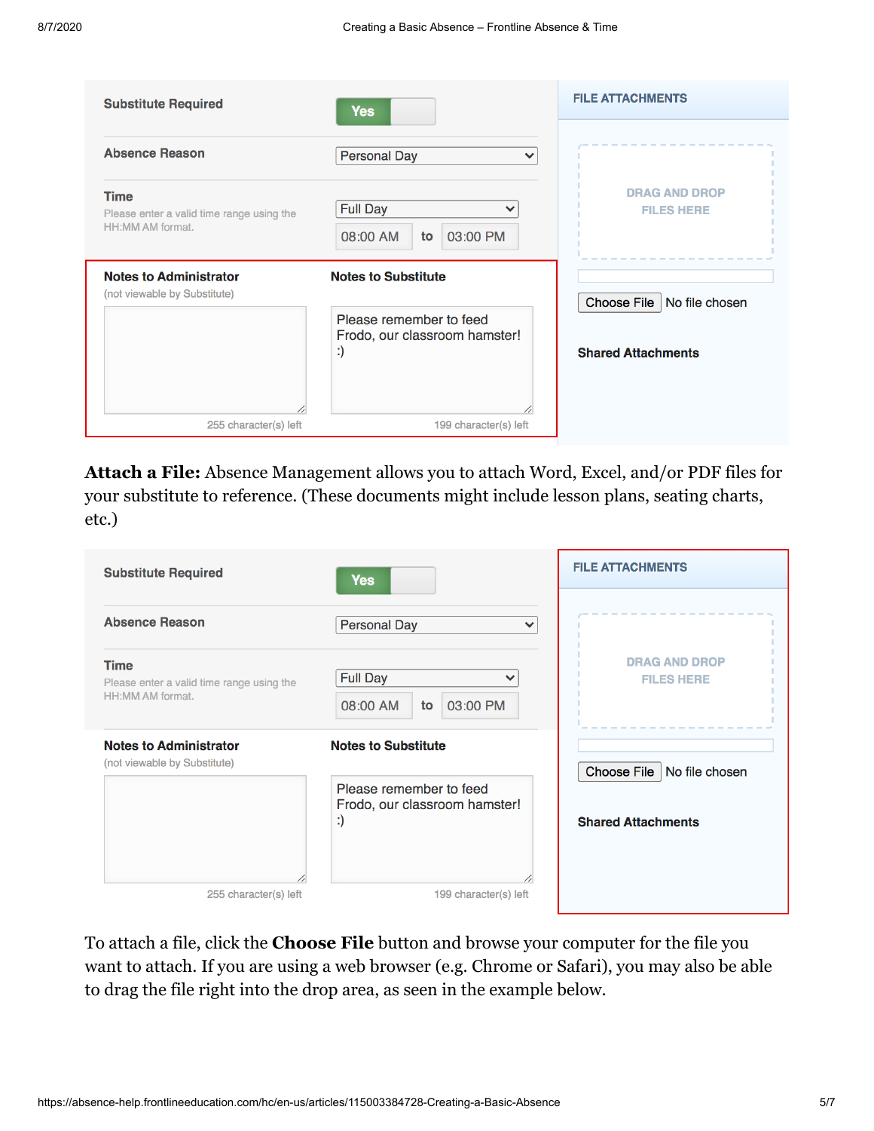| <b>Substitute Required</b>                                                   | <b>Yes</b>                                                     | <b>FILE ATTACHMENTS</b>                   |
|------------------------------------------------------------------------------|----------------------------------------------------------------|-------------------------------------------|
| <b>Absence Reason</b>                                                        | <b>Personal Day</b><br>$\checkmark$                            |                                           |
| <b>Time</b><br>Please enter a valid time range using the<br>HH:MM AM format. | <b>Full Day</b><br>$\checkmark$<br>03:00 PM<br>08:00 AM<br>to  | <b>DRAG AND DROP</b><br><b>FILES HERE</b> |
| <b>Notes to Administrator</b><br>(not viewable by Substitute)                | <b>Notes to Substitute</b>                                     | <b>Choose File</b><br>No file chosen      |
|                                                                              | Please remember to feed<br>Frodo, our classroom hamster!<br>:) | <b>Shared Attachments</b>                 |
| 255 character(s) left                                                        | 199 character(s) left                                          |                                           |

**Attach a File:** Absence Management allows you to attach Word, Excel, and/or PDF files for your substitute to reference. (These documents might include lesson plans, seating charts, etc.)

| <b>Substitute Required</b>                                                   | <b>Yes</b>                                                     | <b>FILE ATTACHMENTS</b>                                           |
|------------------------------------------------------------------------------|----------------------------------------------------------------|-------------------------------------------------------------------|
| <b>Absence Reason</b>                                                        | <b>Personal Day</b><br>$\checkmark$                            |                                                                   |
| <b>Time</b><br>Please enter a valid time range using the<br>HH:MM AM format. | <b>Full Day</b><br>$\checkmark$<br>03:00 PM<br>08:00 AM<br>to  | <b>DRAG AND DROP</b><br><b>FILES HERE</b>                         |
| <b>Notes to Administrator</b><br>(not viewable by Substitute)                | <b>Notes to Substitute</b>                                     |                                                                   |
|                                                                              | Please remember to feed<br>Frodo, our classroom hamster!<br>:) | <b>Choose File</b><br>No file chosen<br><b>Shared Attachments</b> |
| 255 character(s) left                                                        | 199 character(s) left                                          |                                                                   |

To attach a file, click the **Choose File** button and browse your computer for the file you want to attach. If you are using a web browser (e.g. Chrome or Safari), you may also be able to drag the file right into the drop area, as seen in the example below.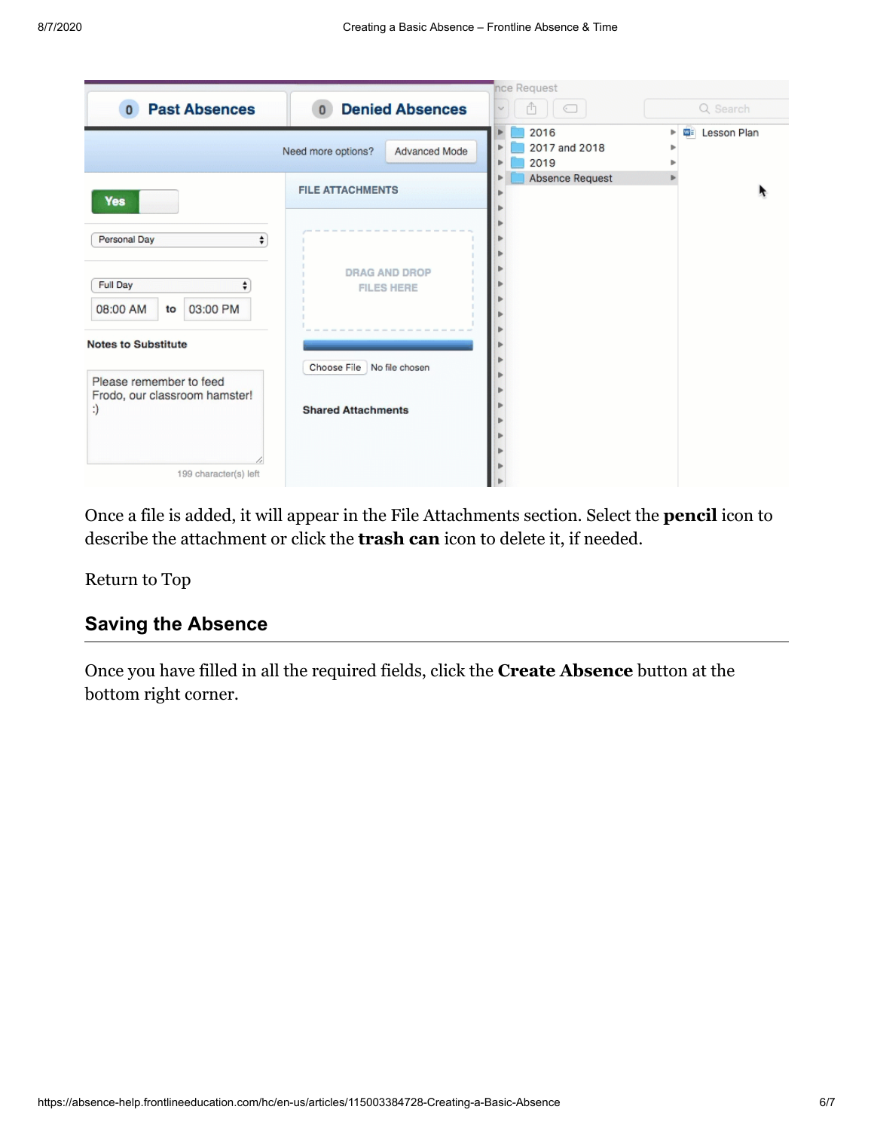|                                                                |                                           | nce Request                   |                           |
|----------------------------------------------------------------|-------------------------------------------|-------------------------------|---------------------------|
| <b>Past Absences</b><br>$\mathbf{0}$                           | <b>Denied Absences</b><br>$\Omega$        | Â<br>◯                        | Q Search                  |
|                                                                | Need more options?<br>Advanced Mode       | 2016<br>2017 and 2018<br>2019 | <b>E</b> Lesson Plan<br>ь |
| Yes                                                            | <b>FILE ATTACHMENTS</b>                   | Absence Request               |                           |
| Personal Day<br>$\div$                                         |                                           |                               |                           |
| Full Day<br>٠<br>03:00 PM<br>08:00 AM<br>to                    | <b>DRAG AND DROP</b><br><b>FILES HERE</b> |                               |                           |
| <b>Notes to Substitute</b>                                     | Choose File<br>No file chosen             |                               |                           |
| Please remember to feed<br>Frodo, our classroom hamster!<br>:) | <b>Shared Attachments</b>                 |                               |                           |
| 199 character(s) left                                          |                                           |                               |                           |

Once a file is added, it will appear in the File Attachments section. Select the **pencil** icon to describe the attachment or click the **trash can** icon to delete it, if needed.

Return to Top

### **Saving the Absence**

Once you have filled in all the required fields, click the **Create Absence** button at the bottom right corner.